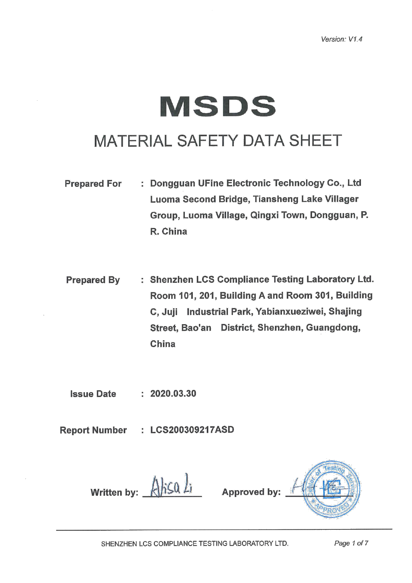# **MSDS**

### MATERIAL SAFETY DATA SHEET

- : Dongguan UFine Electronic Technology Co., Ltd **Prepared For** Luoma Second Bridge, Tiansheng Lake Villager Group, Luoma Village, Qingxi Town, Dongguan, P. R. China
- : Shenzhen LCS Compliance Testing Laboratory Ltd. **Prepared By** Room 101, 201, Building A and Room 301, Building C, Juji Industrial Park, Yabianxueziwei, Shajing Street, Bao'an District, Shenzhen, Guangdong, China

**Issue Date**  $: 2020.03.30$ 

**Report Number** : LCS200309217ASD

Written by:  $\lambda$  hs  $\lambda$  i Approved by: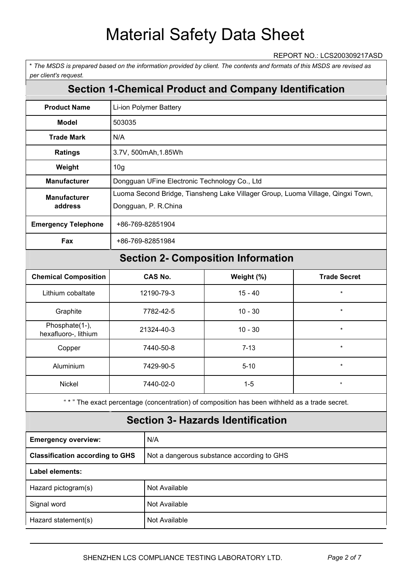#### REPORT NO.: LCS200309217ASD

\* The MSDS is prepared based on the information provided by client. The contents and formats of this MSDS are revised as *per client's request.*

### **Section 1-Chemical Product and Company Identification**

| <b>Product Name</b>            | Li-ion Polymer Battery                                                                                  |
|--------------------------------|---------------------------------------------------------------------------------------------------------|
| Model                          | 503035                                                                                                  |
| <b>Trade Mark</b>              | N/A                                                                                                     |
| <b>Ratings</b>                 | 3.7V, 500mAh, 1.85Wh                                                                                    |
| Weight                         | 10 <sub>g</sub>                                                                                         |
| <b>Manufacturer</b>            | Dongguan UFine Electronic Technology Co., Ltd                                                           |
| <b>Manufacturer</b><br>address | Luoma Second Bridge, Tiansheng Lake Villager Group, Luoma Village, Qingxi Town,<br>Dongguan, P. R.China |
| <b>Emergency Telephone</b>     | +86-769-82851904                                                                                        |
| Fax                            | +86-769-82851984                                                                                        |

### **Section 2- Composition Information**

| <b>Chemical Composition</b>            | <b>CAS No.</b> | Weight (%) | <b>Trade Secret</b> |
|----------------------------------------|----------------|------------|---------------------|
| Lithium cobaltate                      | 12190-79-3     | $15 - 40$  | $\star$             |
| Graphite                               | 7782-42-5      | $10 - 30$  | $\star$             |
| Phosphate(1-),<br>hexafluoro-, lithium | 21324-40-3     | $10 - 30$  | $\star$             |
| Copper                                 | 7440-50-8      | $7 - 13$   | $\star$             |
| Aluminium                              | 7429-90-5      | $5 - 10$   | $\star$             |
| Nickel                                 | 7440-02-0      | $1-5$      | $^\star$            |

" \* " The exact percentage (concentration) of composition has been withheld as a trade secret.

|                                        | <b>Section 3- Hazards Identification</b>   |
|----------------------------------------|--------------------------------------------|
| <b>Emergency overview:</b>             | N/A                                        |
| <b>Classification according to GHS</b> | Not a dangerous substance according to GHS |
| Label elements:                        |                                            |
| Hazard pictogram(s)                    | Not Available                              |
| Signal word                            | Not Available                              |
| Hazard statement(s)                    | Not Available                              |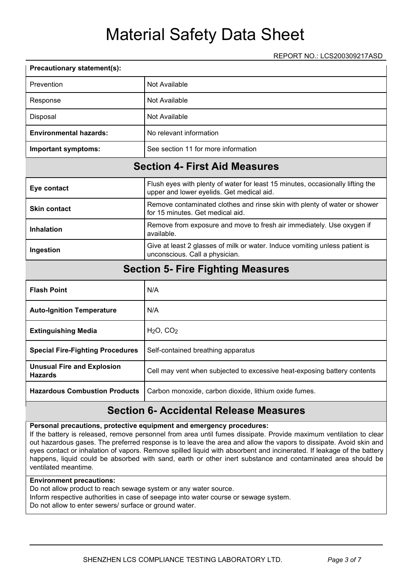REPORT NO.: LCS200309217ASD

| Precautionary statement(s):      |                                                                                                                             |
|----------------------------------|-----------------------------------------------------------------------------------------------------------------------------|
| Prevention                       | Not Available                                                                                                               |
| Response                         | Not Available                                                                                                               |
| Disposal                         | <b>Not Available</b>                                                                                                        |
| <b>Environmental hazards:</b>    | No relevant information                                                                                                     |
| <b>Important symptoms:</b>       | See section 11 for more information                                                                                         |
|                                  | <b>Section 4- First Aid Measures</b>                                                                                        |
| Eye contact                      | Flush eyes with plenty of water for least 15 minutes, occasionally lifting the<br>upper and lower eyelids. Get medical aid. |
| <b>Skin contact</b>              | Remove contaminated clothes and rinse skin with plenty of water or shower<br>for 15 minutes. Get medical aid.               |
| <b>Inhalation</b>                | Remove from exposure and move to fresh air immediately. Use oxygen if<br>available.                                         |
| Ingestion                        | Give at least 2 glasses of milk or water. Induce vomiting unless patient is<br>unconscious. Call a physician.               |
|                                  | <b>Section 5- Fire Fighting Measures</b>                                                                                    |
| <b>Flash Point</b>               | N/A                                                                                                                         |
| <b>Auto-Ignition Temperature</b> | N/A                                                                                                                         |
| <b>Extinguishing Media</b>       | $H2O$ , $CO2$                                                                                                               |
|                                  |                                                                                                                             |

| <b>Special Fire-Fighting Procedures</b>             | Self-contained breathing apparatus                                                    |
|-----------------------------------------------------|---------------------------------------------------------------------------------------|
| <b>Unusual Fire and Explosion</b><br><b>Hazards</b> | Cell may vent when subjected to excessive heat-exposing battery contents              |
|                                                     | Hazardous Combustion Products   Carbon monoxide, carbon dioxide, lithium oxide fumes. |

### **Section 6- Accidental Release Measures**

#### **Personal precautions, protective equipment and emergency procedures:**

If the battery is released, remove personnel from area until fumes dissipate. Provide maximum ventilation to clear out hazardous gases. The preferred response is to leave the area and allow the vapors to dissipate. Avoid skin and eyes contact or inhalation of vapors. Remove spilled liquid with absorbent and incinerated. If leakage of the battery happens, liquid could be absorbed with sand, earth or other inert substance and contaminated area should be ventilated meantime.

#### **Environment precautions:**

Do not allow product to reach sewage system or any water source. Inform respective authorities in case of seepage into water course or sewage system. Do not allow to enter sewers/ surface or ground water.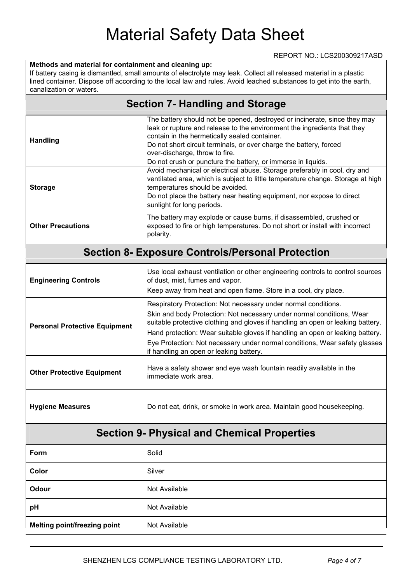#### **Methods and material for containment and cleaning up:**

If battery casing is dismantled, small amounts of electrolyte may leak. Collect all released material in a plastic lined container. Dispose off according to the local law and rules. Avoid leached substances to get into the earth, canalization or waters.

#### **Section 7- Handling and Storage**

| <b>Handling</b>          | The battery should not be opened, destroyed or incinerate, since they may<br>leak or rupture and release to the environment the ingredients that they<br>contain in the hermetically sealed container.<br>Do not short circuit terminals, or over charge the battery, forced<br>over-discharge, throw to fire. |
|--------------------------|----------------------------------------------------------------------------------------------------------------------------------------------------------------------------------------------------------------------------------------------------------------------------------------------------------------|
|                          | Do not crush or puncture the battery, or immerse in liquids.                                                                                                                                                                                                                                                   |
| <b>Storage</b>           | Avoid mechanical or electrical abuse. Storage preferably in cool, dry and<br>ventilated area, which is subject to little temperature change. Storage at high<br>temperatures should be avoided.<br>Do not place the battery near heating equipment, nor expose to direct<br>sunlight for long periods.         |
| <b>Other Precautions</b> | The battery may explode or cause burns, if disassembled, crushed or<br>exposed to fire or high temperatures. Do not short or install with incorrect<br>polarity.                                                                                                                                               |

#### **Section 8- Exposure Controls/Personal Protection**

| <b>Engineering Controls</b>          | Use local exhaust ventilation or other engineering controls to control sources<br>of dust, mist, fumes and vapor.<br>Keep away from heat and open flame. Store in a cool, dry place.                                                                                                                                                                                                                                                 |
|--------------------------------------|--------------------------------------------------------------------------------------------------------------------------------------------------------------------------------------------------------------------------------------------------------------------------------------------------------------------------------------------------------------------------------------------------------------------------------------|
| <b>Personal Protective Equipment</b> | Respiratory Protection: Not necessary under normal conditions.<br>Skin and body Protection: Not necessary under normal conditions, Wear<br>suitable protective clothing and gloves if handling an open or leaking battery.<br>Hand protection: Wear suitable gloves if handling an open or leaking battery.<br>Eye Protection: Not necessary under normal conditions, Wear safety glasses<br>if handling an open or leaking battery. |
| <b>Other Protective Equipment</b>    | Have a safety shower and eye wash fountain readily available in the<br>immediate work area.                                                                                                                                                                                                                                                                                                                                          |
| <b>Hygiene Measures</b>              | Do not eat, drink, or smoke in work area. Maintain good housekeeping.                                                                                                                                                                                                                                                                                                                                                                |

### **Section 9- Physical and Chemical Properties**

| Form                                | Solid         |
|-------------------------------------|---------------|
| Color                               | Silver        |
| Odour                               | Not Available |
| pH                                  | Not Available |
| <b>Melting point/freezing point</b> | Not Available |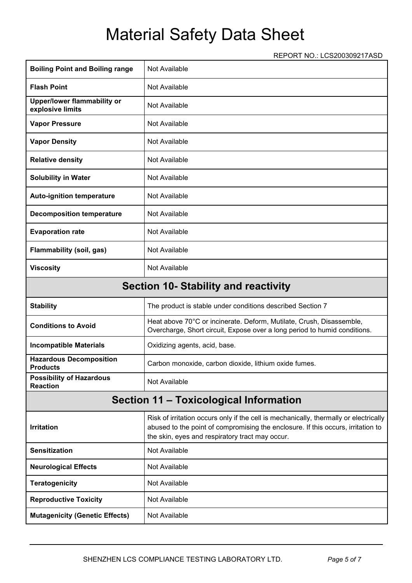REPORT NO.: LCS200309217ASD

| <b>Boiling Point and Boiling range</b>             | Not Available                                                                                                                                                                                                                |
|----------------------------------------------------|------------------------------------------------------------------------------------------------------------------------------------------------------------------------------------------------------------------------------|
| <b>Flash Point</b>                                 | Not Available                                                                                                                                                                                                                |
| Upper/lower flammability or<br>explosive limits    | Not Available                                                                                                                                                                                                                |
| <b>Vapor Pressure</b>                              | Not Available                                                                                                                                                                                                                |
| <b>Vapor Density</b>                               | Not Available                                                                                                                                                                                                                |
| <b>Relative density</b>                            | Not Available                                                                                                                                                                                                                |
| <b>Solubility in Water</b>                         | Not Available                                                                                                                                                                                                                |
| <b>Auto-ignition temperature</b>                   | Not Available                                                                                                                                                                                                                |
| <b>Decomposition temperature</b>                   | Not Available                                                                                                                                                                                                                |
| <b>Evaporation rate</b>                            | Not Available                                                                                                                                                                                                                |
| <b>Flammability (soil, gas)</b>                    | Not Available                                                                                                                                                                                                                |
| <b>Viscosity</b>                                   | Not Available                                                                                                                                                                                                                |
|                                                    | <b>Section 10- Stability and reactivity</b>                                                                                                                                                                                  |
| <b>Stability</b>                                   | The product is stable under conditions described Section 7                                                                                                                                                                   |
| <b>Conditions to Avoid</b>                         | Heat above 70°C or incinerate. Deform, Mutilate, Crush, Disassemble,<br>Overcharge, Short circuit, Expose over a long period to humid conditions.                                                                            |
| <b>Incompatible Materials</b>                      | Oxidizing agents, acid, base.                                                                                                                                                                                                |
| <b>Hazardous Decomposition</b><br><b>Products</b>  | Carbon monoxide, carbon dioxide, lithium oxide fumes.                                                                                                                                                                        |
| <b>Possibility of Hazardous</b><br><b>Reaction</b> | Not Available                                                                                                                                                                                                                |
|                                                    | Section 11 - Toxicological Information                                                                                                                                                                                       |
| <b>Irritation</b>                                  | Risk of irritation occurs only if the cell is mechanically, thermally or electrically<br>abused to the point of compromising the enclosure. If this occurs, irritation to<br>the skin, eyes and respiratory tract may occur. |
| <b>Sensitization</b>                               | Not Available                                                                                                                                                                                                                |
| <b>Neurological Effects</b>                        | Not Available                                                                                                                                                                                                                |
| <b>Teratogenicity</b>                              | Not Available                                                                                                                                                                                                                |
| <b>Reproductive Toxicity</b>                       | Not Available                                                                                                                                                                                                                |
| <b>Mutagenicity (Genetic Effects)</b>              | Not Available                                                                                                                                                                                                                |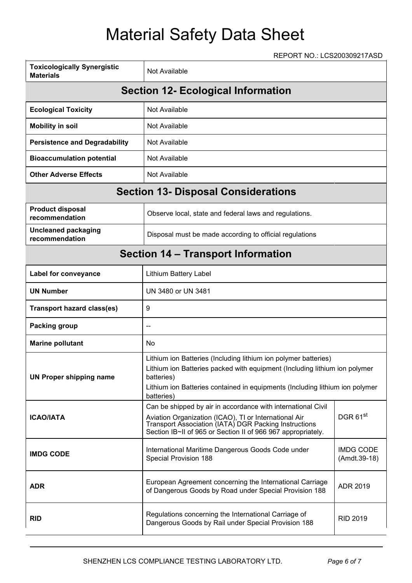### REPORT NO.: LCS200309217ASD

| <b>Toxicologically Synergistic</b><br><b>Materials</b> | Not Available                                                                                                                                                                                                                                             |                                  |  |
|--------------------------------------------------------|-----------------------------------------------------------------------------------------------------------------------------------------------------------------------------------------------------------------------------------------------------------|----------------------------------|--|
|                                                        | <b>Section 12- Ecological Information</b>                                                                                                                                                                                                                 |                                  |  |
| <b>Ecological Toxicity</b>                             | <b>Not Available</b>                                                                                                                                                                                                                                      |                                  |  |
| <b>Mobility in soil</b>                                | Not Available                                                                                                                                                                                                                                             |                                  |  |
| <b>Persistence and Degradability</b>                   | Not Available                                                                                                                                                                                                                                             |                                  |  |
| <b>Bioaccumulation potential</b>                       | Not Available                                                                                                                                                                                                                                             |                                  |  |
| <b>Other Adverse Effects</b>                           | <b>Not Available</b>                                                                                                                                                                                                                                      |                                  |  |
|                                                        | <b>Section 13- Disposal Considerations</b>                                                                                                                                                                                                                |                                  |  |
| <b>Product disposal</b><br>recommendation              | Observe local, state and federal laws and regulations.                                                                                                                                                                                                    |                                  |  |
| <b>Uncleaned packaging</b><br>recommendation           | Disposal must be made according to official regulations                                                                                                                                                                                                   |                                  |  |
|                                                        | <b>Section 14 – Transport Information</b>                                                                                                                                                                                                                 |                                  |  |
| Label for conveyance                                   | Lithium Battery Label                                                                                                                                                                                                                                     |                                  |  |
| <b>UN Number</b>                                       | UN 3480 or UN 3481                                                                                                                                                                                                                                        |                                  |  |
| <b>Transport hazard class(es)</b>                      | 9                                                                                                                                                                                                                                                         |                                  |  |
| <b>Packing group</b>                                   |                                                                                                                                                                                                                                                           |                                  |  |
| <b>Marine pollutant</b>                                | No                                                                                                                                                                                                                                                        |                                  |  |
| <b>UN Proper shipping name</b>                         | Lithium ion Batteries (Including lithium ion polymer batteries)<br>Lithium ion Batteries packed with equipment (Including lithium ion polymer<br>batteries)<br>Lithium ion Batteries contained in equipments (Including lithium ion polymer<br>batteries) |                                  |  |
| <b>ICAO/IATA</b>                                       | Can be shipped by air in accordance with international Civil<br>Aviation Organization (ICAO), TI or International Air<br>Transport Association (IATA) DGR Packing Instructions<br>Section IB~II of 965 or Section II of 966 967 appropriately.            | DGR <sub>61st</sub>              |  |
| <b>IMDG CODE</b>                                       | International Maritime Dangerous Goods Code under<br>Special Provision 188                                                                                                                                                                                | <b>IMDG CODE</b><br>(Amdt.39-18) |  |
| <b>ADR</b>                                             | European Agreement concerning the International Carriage<br>of Dangerous Goods by Road under Special Provision 188                                                                                                                                        | ADR 2019                         |  |
| <b>RID</b>                                             | Regulations concerning the International Carriage of<br>Dangerous Goods by Rail under Special Provision 188                                                                                                                                               | <b>RID 2019</b>                  |  |